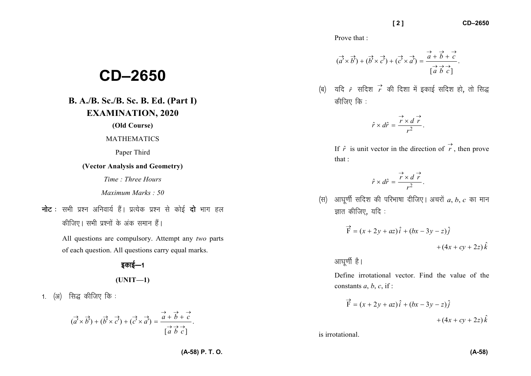Prove that :

$$
(\overrightarrow{a} \times \overrightarrow{b}) + (\overrightarrow{b} \times \overrightarrow{c}) + (\overrightarrow{c} \times \overrightarrow{a}) = \frac{\overrightarrow{a} + \overrightarrow{b} + \overrightarrow{c}}{[\overrightarrow{a} \ \overrightarrow{b} \ \overrightarrow{c}]}.
$$

(ब) यदि  $\hat{r}$  सदिश  $\vec{r}$  की दिशा में इकाई सदिश हो, तो सिद्ध कीजिए कि :

$$
\hat{r} \times d\hat{r} = \frac{\overrightarrow{r} \times d}{r^2}.
$$

If  $\hat{r}$  is unit vector in the direction of  $\overrightarrow{r}$  $r$ , then prove that :

$$
\hat{r} \times d\hat{r} = \frac{\overrightarrow{r} \times d}{r^2}.
$$

 $k(\theta)$  आघुर्णी सदिश की परिभाषा दीजिए। अचरों  $a, b, c$  का मान ज्ञात कीजिए, यदि $:$ 

$$
\vec{F} = (x + 2y + az)\hat{i} + (bx - 3y - z)\hat{j} + (4x + cy + 2z)\hat{k}
$$

आघर्णी है।

Define irrotational vector. Find the value of the constants  $a, b, c$ , if :

$$
\vec{F} = (x + 2y + az)\hat{i} + (bx - 3y - z)\hat{j} + (4x + cy + 2z)\hat{k}
$$

is irrotational.

## **CD–2650**

## **B. A./B. Sc./B. Sc. B. Ed. (Part I)EXAMINATION, 2020**

**(Old Course)** 

## MATHEMATICS

Paper Third

**(Vector Analysis and Geometry)** 

*Time : Three Hours* 

*Maximum Marks : 50*

**नोट** : सभी प्रश्न अनिवार्य हैं। प्रत्येक प्रश्न से कोई **दो** भाग हल कीजिए। सभी प्रश्नों के अंक समान हैं।

> All questions are compulsory. Attempt any *two* parts of each question. All questions carry equal marks.

> > डकाई—1

**(UNIT—1)** 

1.  $(3)$  सिद्ध कीजिए कि :

$$
(\vec{a'} \times \vec{b'}) + (\vec{b'} \times \vec{c'}) + (\vec{c'} \times \vec{a'}) = \frac{\vec{a} + \vec{b} + \vec{c}}{[\vec{a} \ \vec{b} \ \vec{c}]}.
$$

**(A-58) P. T. O.** 

ˆ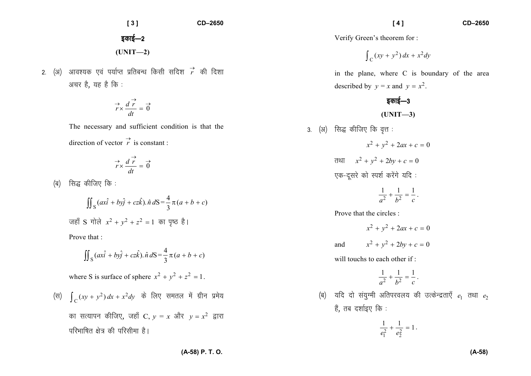2. (अ) आवश्यक एवं पर्याप्त प्रतिबन्ध किसी सदिश  $\vec{r}$  की दिशा अचर है, यह है कि :

$$
\overrightarrow{r} \times \frac{d}{dt} \overrightarrow{r} = \overrightarrow{0}
$$

The necessary and sufficient condition is that the

direction of vector *r*→ $\dot{r}$  is constant :

$$
\overrightarrow{r} \times \frac{d}{dt} \overrightarrow{r} = \overrightarrow{0}
$$

 $(a)$  सिद्ध कीजिए कि :

$$
\iint_{S} (ax\hat{i} + by\hat{j} + cz\hat{k}). \hat{n} dS = \frac{4}{3} \pi (a + b + c)
$$
  
जहाँ S  $\vec{n} \times \vec{a} + y^2 + z^2 = 1$  का पूष्ठ है |

Prove that :

$$
\iint_{\mathcal{S}} (ax\hat{i} + by\hat{j} + cz\hat{k}).\hat{n} dS = \frac{4}{3}\pi (a+b+c)
$$

where S is surface of sphere  $x^2 + y^2 + z^2 = 1$ .

(स) 
$$
\int_C (xy + y^2) dx + x^2 dy
$$
 के लिए समतल में ग्रीन प्रमेय का सत्यापन कीजिए, जहाँ C,  $y = x$  और  $y = x^2$  द्वारा परिभाषित क्षेत्र की परिसीमा है।

Verify Green's theorem for :

$$
\int_C (xy + y^2) dx + x^2 dy
$$

in the plane, where C is boundary of the area described by  $y = x$  and  $y = x^2$ .

## डकाई $-3$

**(UNIT—3)** 

- 3. (अ) सिद्ध कीजिए कि वृत्त :
	- $x^2 + y^2 + 2ax + c = 0$ तथा  $x^2 + y^2 + 2by + c = 0$ एक-दूसरे को स्पर्श करेंगे यदि:

$$
\frac{1}{a^2} + \frac{1}{b^2} = \frac{1}{c}.
$$

Prove that the circles :

 $x^2 + y^2 + 2ax + c = 0$ and  $x^2 + y^2 + 2by + c = 0$ 

will touchs to each other if:

$$
\frac{1}{a^2} + \frac{1}{b^2} = \frac{1}{c}.
$$

(ब) यदि दो संयुग्मी अतिपरवलय की उत्केन्द्रताएँ <sub>e </sub>तथा e<sub>2</sub> हैं, तब दर्शाइए कि :

$$
\frac{1}{e_1^2} + \frac{1}{e_2^2} = 1.
$$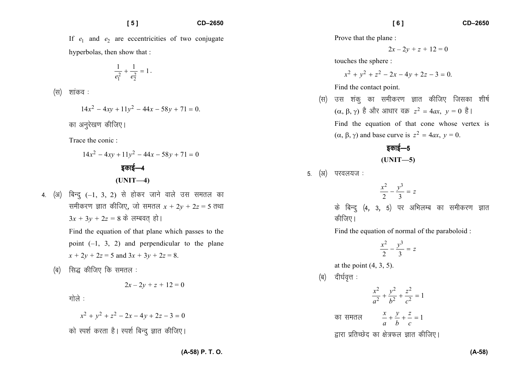If  $e_1$  and  $e_2$  are eccentricities of two conjugate hyperbolas, then show that :

$$
\frac{1}{e_1^2} + \frac{1}{e_2^2} = 1 \, .
$$

 $(\nabla f)$  शांकव:

$$
14x^2 - 4xy + 11y^2 - 44x - 58y + 71 = 0.
$$

का अनुरेखण कीजिए।

Trace the conic :

$$
14x2 - 4xy + 11y2 - 44x - 58y + 71 = 0
$$
  
366 = 4  
(UNIT -4)

4. (अ) बिन्दू (-1, 3, 2) से होकर जाने वाले उस समतल का समीकरण ज्ञात कीजिए, जो समतल  $x + 2y + 2z = 5$  तथा  $3x + 3y + 2z = 8$  के लम्बवत् हो।

> Find the equation of that plane which passes to thepoint  $(-1, 3, 2)$  and perpendicular to the plane  $x + 2y + 2z = 5$  and  $3x + 3y + 2z = 8$ .

(ब) सिद्ध कीजिए कि समतल :

 $2x - 2y + z + 12 = 0$ 

गोले $:$ 

$$
x^2 + y^2 + z^2 - 2x - 4y + 2z - 3 = 0
$$

को स्पर्श करता है। स्पर्श बिन्दू ज्ञात कीजिए।

Prove that the plane :

$$
2x - 2y + z + 12 = 0
$$

touches the sphere :

$$
x^2 + y^2 + z^2 - 2x - 4y + 2z - 3 = 0.
$$

Find the contact point.

(π) उस शंकु का समीकरण ज्ञात कीजिए जिसका शीर्ष  
\n(α, β, γ) है और आधार वक्र 
$$
z^2 = 4ax
$$
,  $y = 0$  है l  
\nFind the equation of that cone whose vertex is  
\n(α, β, γ) and base curve is  $z^2 = 4ax$ ,  $y = 0$ .

इकाई—5 **(UNIT—5)** 

5. (अ) परवलयज:

$$
\frac{x^2}{2} - \frac{y^3}{3} = z
$$

के बिन्दु (4, 3, 5) पर अभिलम्ब का समीकरण ज्ञात कीजिए।

Find the equation of normal of the paraboloid :

$$
\frac{x^2}{2} - \frac{y^3}{3} = z
$$

at the point  $(4, 3, 5)$ .

 $(q)$  दीर्घवत्त:

$$
\frac{x^2}{a^2} + \frac{y^2}{b^2} + \frac{z^2}{c^2} = 1
$$
का समतल 
$$
\frac{x}{a} + \frac{y}{b} + \frac{z}{c} = 1
$$
gारा प्रतिच्छेद का क्षेत्रफल ज्ञात कीजिए |